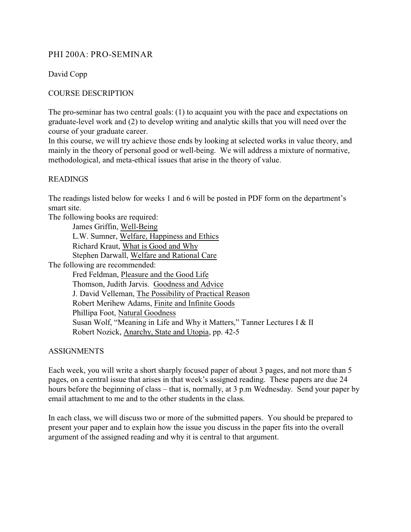## PHI 200A: PRO-SEMINAR

David Copp

## COURSE DESCRIPTION

The pro-seminar has two central goals: (1) to acquaint you with the pace and expectations on graduate-level work and (2) to develop writing and analytic skills that you will need over the course of your graduate career.

In this course, we will try achieve those ends by looking at selected works in value theory, and mainly in the theory of personal good or well-being. We will address a mixture of normative, methodological, and meta-ethical issues that arise in the theory of value.

## READINGS

The readings listed below for weeks 1 and 6 will be posted in PDF form on the department's smart site.

The following books are required:

| James Griffin, Well-Being                                                |
|--------------------------------------------------------------------------|
| L.W. Sumner, Welfare, Happiness and Ethics                               |
| Richard Kraut, What is Good and Why                                      |
| Stephen Darwall, Welfare and Rational Care                               |
| The following are recommended:                                           |
| Fred Feldman, Pleasure and the Good Life                                 |
| Thomson, Judith Jarvis. Goodness and Advice                              |
| J. David Velleman, The Possibility of Practical Reason                   |
| Robert Merihew Adams, Finite and Infinite Goods                          |
| Phillipa Foot, Natural Goodness                                          |
| Susan Wolf, "Meaning in Life and Why it Matters," Tanner Lectures I & II |
| Robert Nozick, Anarchy, State and Utopia, pp. 42-5                       |
|                                                                          |

ASSIGNMENTS

Each week, you will write a short sharply focused paper of about 3 pages, and not more than 5 pages, on a central issue that arises in that week's assigned reading. These papers are due 24 hours before the beginning of class – that is, normally, at 3 p.m Wednesday. Send your paper by email attachment to me and to the other students in the class.

In each class, we will discuss two or more of the submitted papers. You should be prepared to present your paper and to explain how the issue you discuss in the paper fits into the overall argument of the assigned reading and why it is central to that argument.